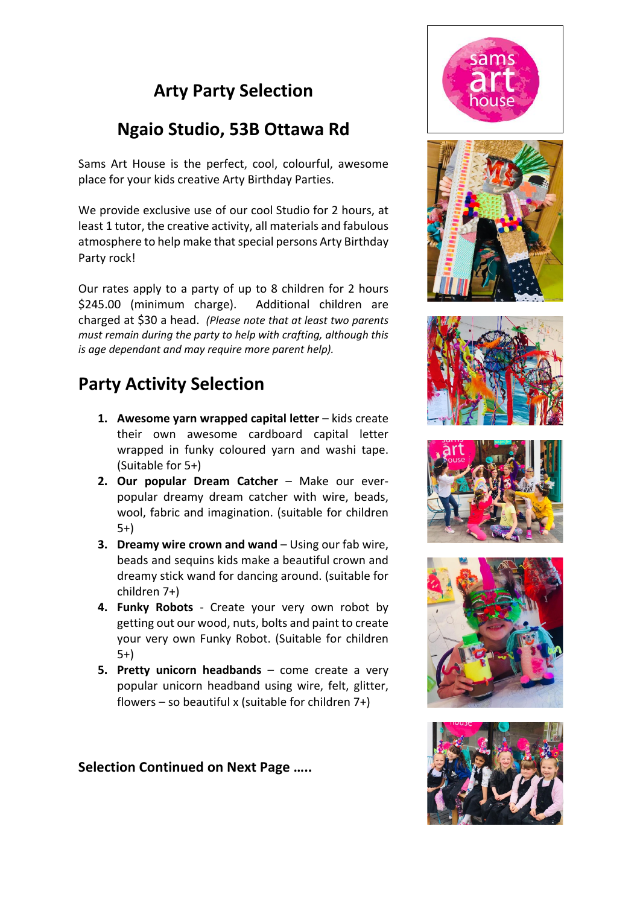## **Arty Party Selection**

## **Ngaio Studio, 53B Ottawa Rd**

Sams Art House is the perfect, cool, colourful, awesome place for your kids creative Arty Birthday Parties.

We provide exclusive use of our cool Studio for 2 hours, at least 1 tutor, the creative activity, all materials and fabulous atmosphere to help make that special persons Arty Birthday Party rock!

Our rates apply to a party of up to 8 children for 2 hours \$245.00 (minimum charge). Additional children are charged at \$30 a head. *(Please note that at least two parents must remain during the party to help with crafting, although this is age dependant and may require more parent help).*

## **Party Activity Selection**

- **1. Awesome varn wrapped capital letter** kids create their own awesome cardboard capital letter wrapped in funky coloured yarn and washi tape. (Suitable for 5+)
- 2. Our popular Dream Catcher Make our everpopular dreamy dream catcher with wire, beads, wool, fabric and imagination. (suitable for children 5+)
- **3. Dreamy wire crown and wand** Using our fab wire, beads and sequins kids make a beautiful crown and dreamy stick wand for dancing around. (suitable for children 7+)
- **4. Funky Robots**  Create your very own robot by getting out our wood, nuts, bolts and paint to create your very own Funky Robot. (Suitable for children 5+)
- **5. Pretty unicorn headbands**  come create a very popular unicorn headband using wire, felt, glitter, flowers – so beautiful x (suitable for children  $7+)$

**Selection Continued on Next Page …..**